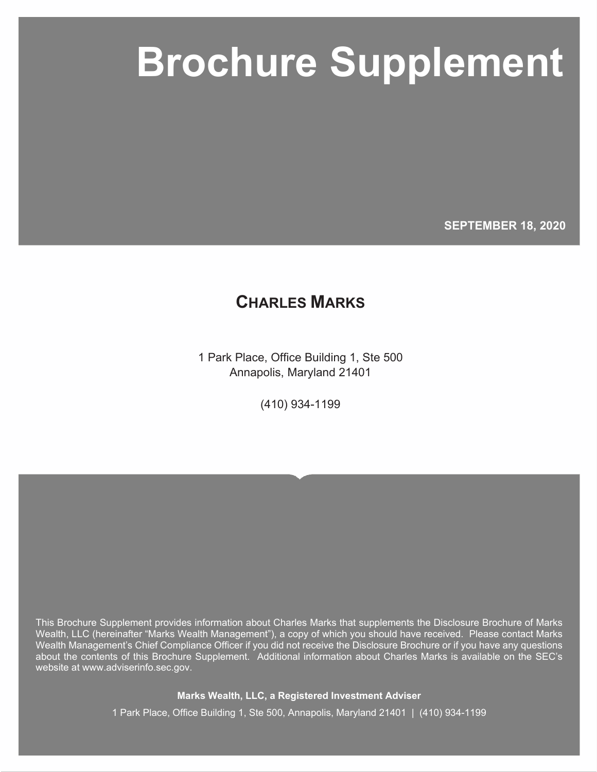# **Marks Wealth, LLC Brochure Supplement Brochure Supplement**

**SEPTEMBER 18, 2020**

## **CHARLES MARKS**

1 Park Place, Office Building 1, Ste 500 Annapolis, Maryland 21401

(410) 934-1199

This Brochure Supplement provides information about Charles Marks that supplements the Disclosure Brochure of Marks Wealth, LLC (hereinafter "Marks Wealth Management"), a copy of which you should have received. Please contact Marks Wealth Management's Chief Compliance Officer if you did not receive the Disclosure Brochure or if you have any questions about the contents of this Brochure Supplement. Additional information about Charles Marks is available on the SEC's website at www.adviserinfo.sec.gov.

**Marks Wealth, LLC, a Registered Investment Adviser**

1 Park Place, Office Building 1, Ste 500, Annapolis, Maryland 21401 | (410) 934-1199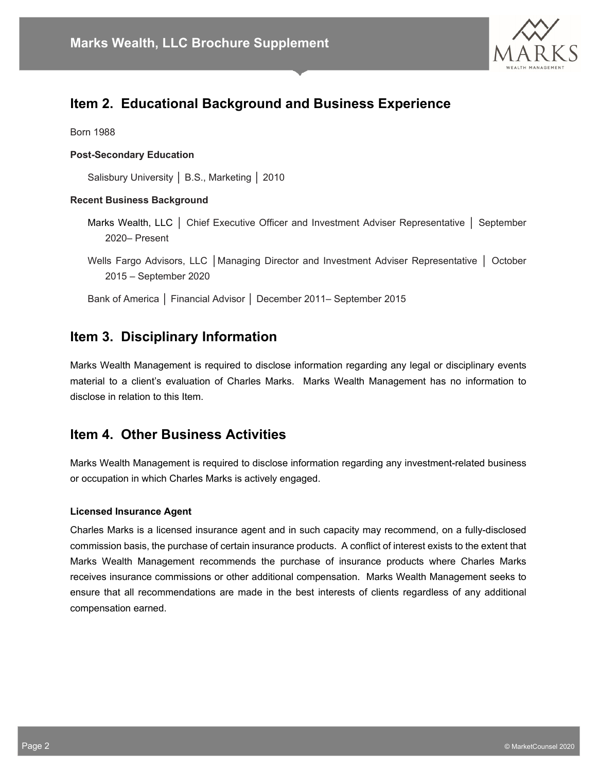

## **Item 2. Educational Background and Business Experience**

Born 1988

#### **Post-Secondary Education**

Salisbury University │ B.S., Marketing │ 2010

#### **Recent Business Background**

- Marks Wealth, LLC │ Chief Executive Officer and Investment Adviser Representative │ September 2020– Present
- Wells Fargo Advisors, LLC | Managing Director and Investment Adviser Representative | October 2015 – September 2020
- Bank of America │ Financial Advisor │ December 2011– September 2015

### **Item 3. Disciplinary Information**

Marks Wealth Management is required to disclose information regarding any legal or disciplinary events material to a client's evaluation of Charles Marks. Marks Wealth Management has no information to disclose in relation to this Item.

#### **Item 4. Other Business Activities**

Marks Wealth Management is required to disclose information regarding any investment-related business or occupation in which Charles Marks is actively engaged.

#### **Licensed Insurance Agent**

Charles Marks is a licensed insurance agent and in such capacity may recommend, on a fully-disclosed commission basis, the purchase of certain insurance products. A conflict of interest exists to the extent that Marks Wealth Management recommends the purchase of insurance products where Charles Marks receives insurance commissions or other additional compensation. Marks Wealth Management seeks to ensure that all recommendations are made in the best interests of clients regardless of any additional compensation earned.